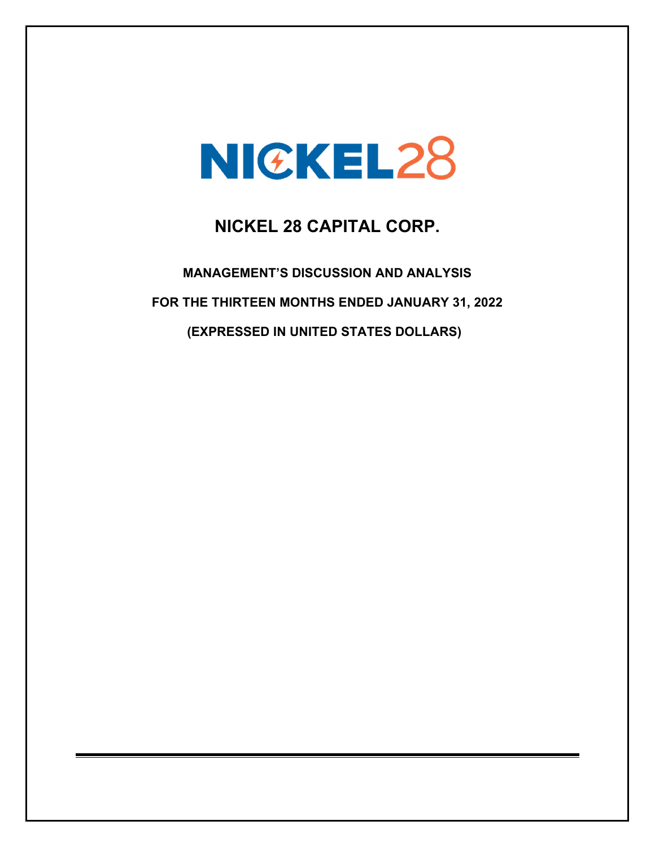# NICKEL28

## **NICKEL 28 CAPITAL CORP.**

**MANAGEMENT'S DISCUSSION AND ANALYSIS FOR THE THIRTEEN MONTHS ENDED JANUARY 31, 2022 (EXPRESSED IN UNITED STATES DOLLARS)**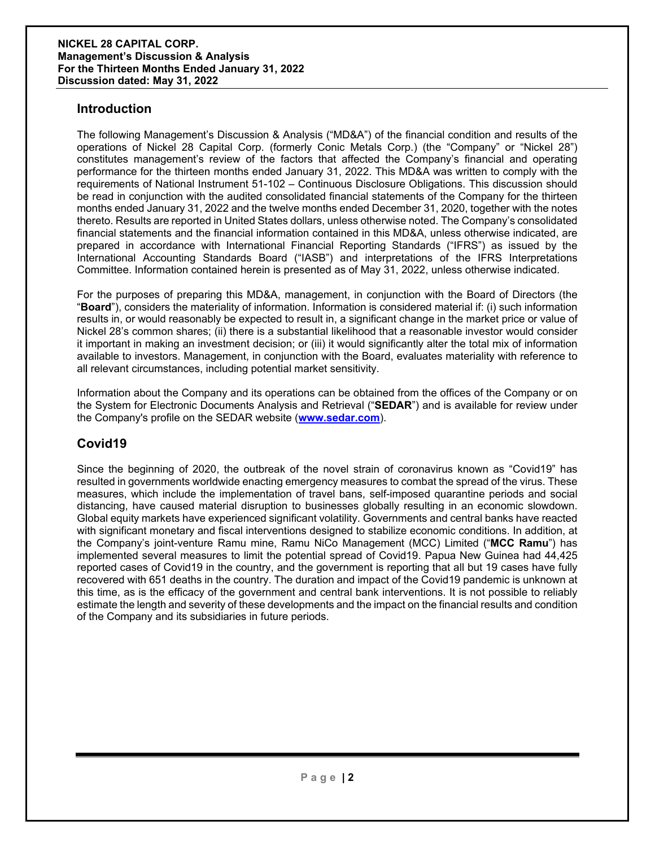## **Introduction**

The following Management's Discussion & Analysis ("MD&A") of the financial condition and results of the operations of Nickel 28 Capital Corp. (formerly Conic Metals Corp.) (the "Company" or "Nickel 28") constitutes management's review of the factors that affected the Company's financial and operating performance for the thirteen months ended January 31, 2022. This MD&A was written to comply with the requirements of National Instrument 51-102 – Continuous Disclosure Obligations. This discussion should be read in conjunction with the audited consolidated financial statements of the Company for the thirteen months ended January 31, 2022 and the twelve months ended December 31, 2020, together with the notes thereto. Results are reported in United States dollars, unless otherwise noted. The Company's consolidated financial statements and the financial information contained in this MD&A, unless otherwise indicated, are prepared in accordance with International Financial Reporting Standards ("IFRS") as issued by the International Accounting Standards Board ("IASB") and interpretations of the IFRS Interpretations Committee. Information contained herein is presented as of May 31, 2022, unless otherwise indicated.

For the purposes of preparing this MD&A, management, in conjunction with the Board of Directors (the "**Board**"), considers the materiality of information. Information is considered material if: (i) such information results in, or would reasonably be expected to result in, a significant change in the market price or value of Nickel 28's common shares; (ii) there is a substantial likelihood that a reasonable investor would consider it important in making an investment decision; or (iii) it would significantly alter the total mix of information available to investors. Management, in conjunction with the Board, evaluates materiality with reference to all relevant circumstances, including potential market sensitivity.

Information about the Company and its operations can be obtained from the offices of the Company or on the System for Electronic Documents Analysis and Retrieval ("**SEDAR**") and is available for review under the Company's profile on the SEDAR website (**www.sedar.com**).

## **Covid19**

Since the beginning of 2020, the outbreak of the novel strain of coronavirus known as "Covid19" has resulted in governments worldwide enacting emergency measures to combat the spread of the virus. These measures, which include the implementation of travel bans, self-imposed quarantine periods and social distancing, have caused material disruption to businesses globally resulting in an economic slowdown. Global equity markets have experienced significant volatility. Governments and central banks have reacted with significant monetary and fiscal interventions designed to stabilize economic conditions. In addition, at the Company's joint-venture Ramu mine, Ramu NiCo Management (MCC) Limited ("**MCC Ramu**") has implemented several measures to limit the potential spread of Covid19. Papua New Guinea had 44,425 reported cases of Covid19 in the country, and the government is reporting that all but 19 cases have fully recovered with 651 deaths in the country. The duration and impact of the Covid19 pandemic is unknown at this time, as is the efficacy of the government and central bank interventions. It is not possible to reliably estimate the length and severity of these developments and the impact on the financial results and condition of the Company and its subsidiaries in future periods.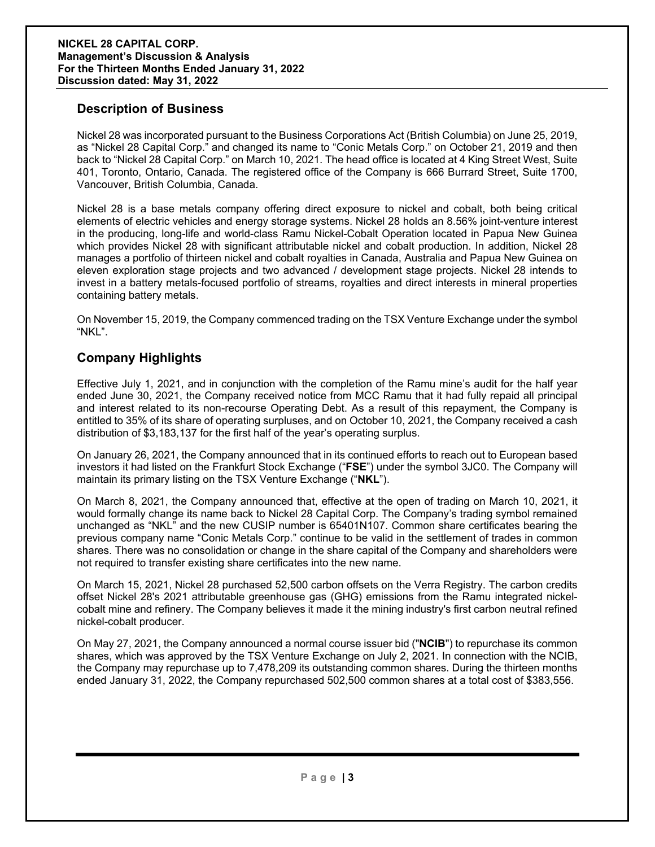## **Description of Business**

Nickel 28 was incorporated pursuant to the Business Corporations Act (British Columbia) on June 25, 2019, as "Nickel 28 Capital Corp." and changed its name to "Conic Metals Corp." on October 21, 2019 and then back to "Nickel 28 Capital Corp." on March 10, 2021. The head office is located at 4 King Street West, Suite 401, Toronto, Ontario, Canada. The registered office of the Company is 666 Burrard Street, Suite 1700, Vancouver, British Columbia, Canada.

Nickel 28 is a base metals company offering direct exposure to nickel and cobalt, both being critical elements of electric vehicles and energy storage systems. Nickel 28 holds an 8.56% joint-venture interest in the producing, long-life and world-class Ramu Nickel-Cobalt Operation located in Papua New Guinea which provides Nickel 28 with significant attributable nickel and cobalt production. In addition, Nickel 28 manages a portfolio of thirteen nickel and cobalt royalties in Canada, Australia and Papua New Guinea on eleven exploration stage projects and two advanced / development stage projects. Nickel 28 intends to invest in a battery metals-focused portfolio of streams, royalties and direct interests in mineral properties containing battery metals.

On November 15, 2019, the Company commenced trading on the TSX Venture Exchange under the symbol "NKL".

## **Company Highlights**

Effective July 1, 2021, and in conjunction with the completion of the Ramu mine's audit for the half year ended June 30, 2021, the Company received notice from MCC Ramu that it had fully repaid all principal and interest related to its non-recourse Operating Debt. As a result of this repayment, the Company is entitled to 35% of its share of operating surpluses, and on October 10, 2021, the Company received a cash distribution of \$3,183,137 for the first half of the year's operating surplus.

On January 26, 2021, the Company announced that in its continued efforts to reach out to European based investors it had listed on the Frankfurt Stock Exchange ("**FSE**") under the symbol 3JC0. The Company will maintain its primary listing on the TSX Venture Exchange ("**NKL**").

On March 8, 2021, the Company announced that, effective at the open of trading on March 10, 2021, it would formally change its name back to Nickel 28 Capital Corp. The Company's trading symbol remained unchanged as "NKL" and the new CUSIP number is 65401N107. Common share certificates bearing the previous company name "Conic Metals Corp." continue to be valid in the settlement of trades in common shares. There was no consolidation or change in the share capital of the Company and shareholders were not required to transfer existing share certificates into the new name.

On March 15, 2021, Nickel 28 purchased 52,500 carbon offsets on the Verra Registry. The carbon credits offset Nickel 28's 2021 attributable greenhouse gas (GHG) emissions from the Ramu integrated nickelcobalt mine and refinery. The Company believes it made it the mining industry's first carbon neutral refined nickel-cobalt producer.

On May 27, 2021, the Company announced a normal course issuer bid ("**NCIB**") to repurchase its common shares, which was approved by the TSX Venture Exchange on July 2, 2021. In connection with the NCIB, the Company may repurchase up to 7,478,209 its outstanding common shares. During the thirteen months ended January 31, 2022, the Company repurchased 502,500 common shares at a total cost of \$383,556.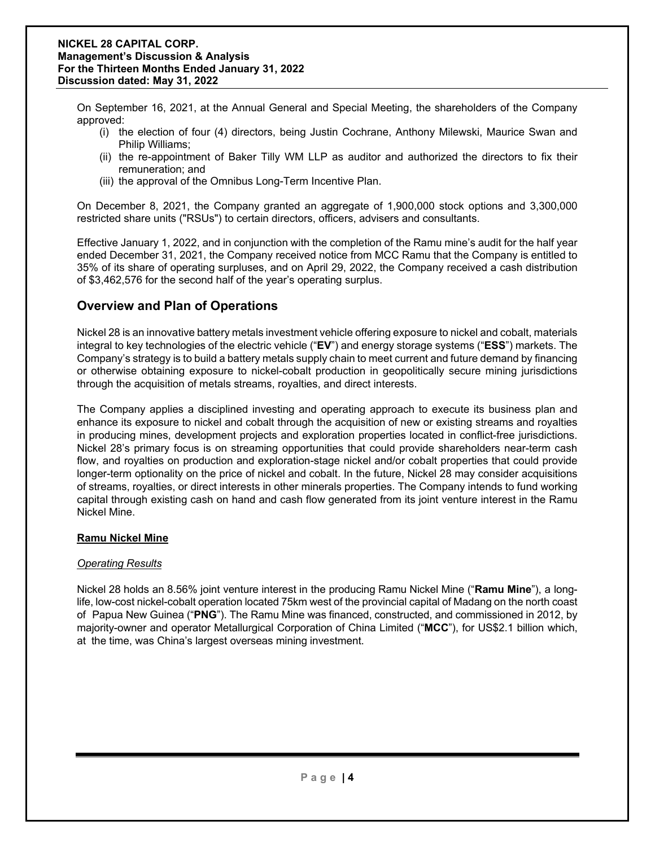On September 16, 2021, at the Annual General and Special Meeting, the shareholders of the Company approved:

- (i) the election of four (4) directors, being Justin Cochrane, Anthony Milewski, Maurice Swan and Philip Williams;
- (ii) the re-appointment of Baker Tilly WM LLP as auditor and authorized the directors to fix their remuneration; and
- (iii) the approval of the Omnibus Long-Term Incentive Plan.

On December 8, 2021, the Company granted an aggregate of 1,900,000 stock options and 3,300,000 restricted share units ("RSUs") to certain directors, officers, advisers and consultants.

Effective January 1, 2022, and in conjunction with the completion of the Ramu mine's audit for the half year ended December 31, 2021, the Company received notice from MCC Ramu that the Company is entitled to 35% of its share of operating surpluses, and on April 29, 2022, the Company received a cash distribution of \$3,462,576 for the second half of the year's operating surplus.

## **Overview and Plan of Operations**

Nickel 28 is an innovative battery metals investment vehicle offering exposure to nickel and cobalt, materials integral to key technologies of the electric vehicle ("**EV**") and energy storage systems ("**ESS**") markets. The Company's strategy is to build a battery metals supply chain to meet current and future demand by financing or otherwise obtaining exposure to nickel-cobalt production in geopolitically secure mining jurisdictions through the acquisition of metals streams, royalties, and direct interests.

The Company applies a disciplined investing and operating approach to execute its business plan and enhance its exposure to nickel and cobalt through the acquisition of new or existing streams and royalties in producing mines, development projects and exploration properties located in conflict-free jurisdictions. Nickel 28's primary focus is on streaming opportunities that could provide shareholders near-term cash flow, and royalties on production and exploration-stage nickel and/or cobalt properties that could provide longer-term optionality on the price of nickel and cobalt. In the future, Nickel 28 may consider acquisitions of streams, royalties, or direct interests in other minerals properties. The Company intends to fund working capital through existing cash on hand and cash flow generated from its joint venture interest in the Ramu Nickel Mine.

#### **Ramu Nickel Mine**

#### *Operating Results*

Nickel 28 holds an 8.56% joint venture interest in the producing Ramu Nickel Mine ("**Ramu Mine**"), a longlife, low-cost nickel-cobalt operation located 75km west of the provincial capital of Madang on the north coast of Papua New Guinea ("**PNG**"). The Ramu Mine was financed, constructed, and commissioned in 2012, by majority-owner and operator Metallurgical Corporation of China Limited ("**MCC**"), for US\$2.1 billion which, at the time, was China's largest overseas mining investment.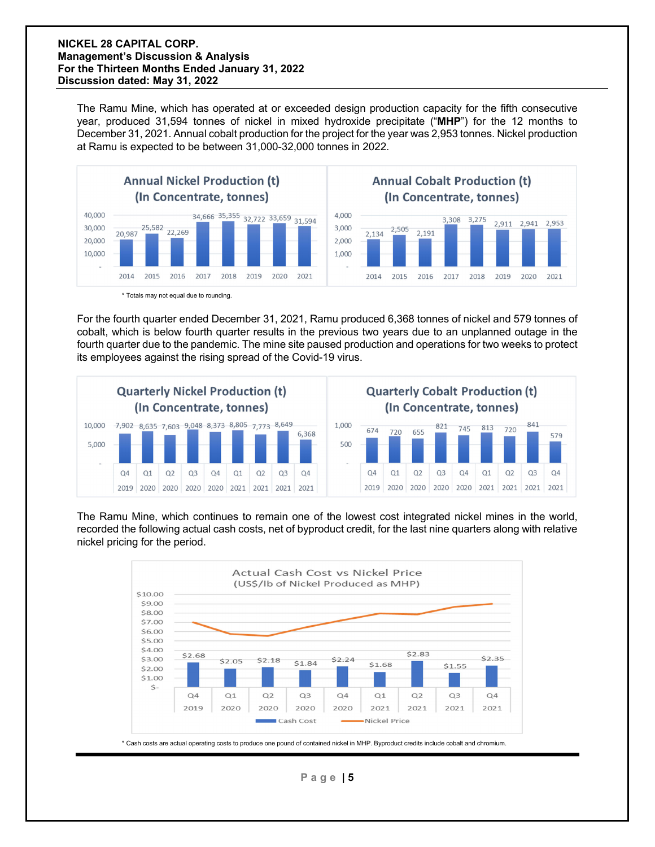The Ramu Mine, which has operated at or exceeded design production capacity for the fifth consecutive year, produced 31,594 tonnes of nickel in mixed hydroxide precipitate ("**MHP**") for the 12 months to December 31, 2021. Annual cobalt production for the project for the year was 2,953 tonnes. Nickel production at Ramu is expected to be between 31,000-32,000 tonnes in 2022.



 <sup>\*</sup> Totals may not equal due to rounding.

For the fourth quarter ended December 31, 2021, Ramu produced 6,368 tonnes of nickel and 579 tonnes of cobalt, which is below fourth quarter results in the previous two years due to an unplanned outage in the fourth quarter due to the pandemic. The mine site paused production and operations for two weeks to protect its employees against the rising spread of the Covid-19 virus.



The Ramu Mine, which continues to remain one of the lowest cost integrated nickel mines in the world, recorded the following actual cash costs, net of byproduct credit, for the last nine quarters along with relative nickel pricing for the period.



\* Cash costs are actual operating costs to produce one pound of contained nickel in MHP. Byproduct credits include cobalt and chromium.

**Page | 5**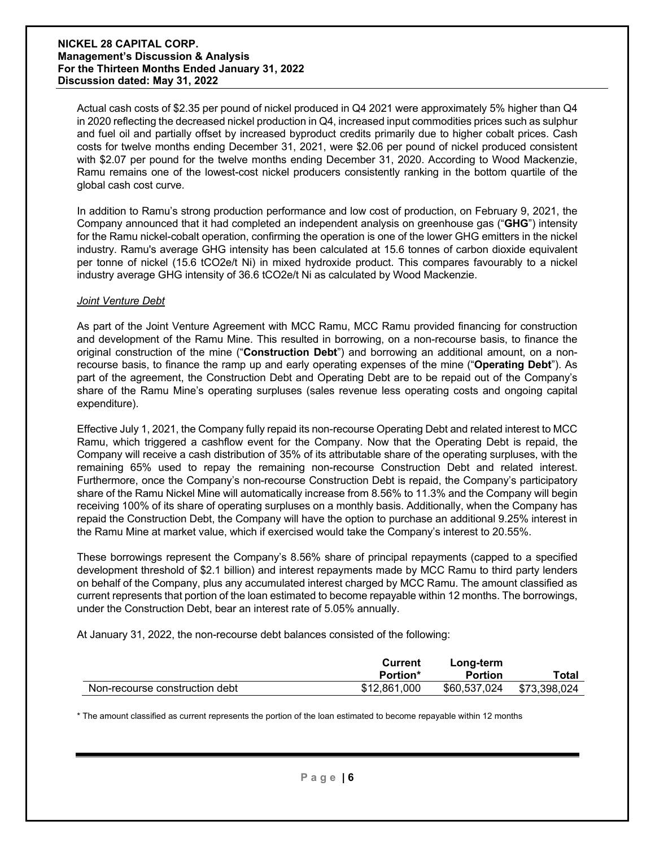Actual cash costs of \$2.35 per pound of nickel produced in Q4 2021 were approximately 5% higher than Q4 in 2020 reflecting the decreased nickel production in Q4, increased input commodities prices such as sulphur and fuel oil and partially offset by increased byproduct credits primarily due to higher cobalt prices. Cash costs for twelve months ending December 31, 2021, were \$2.06 per pound of nickel produced consistent with \$2.07 per pound for the twelve months ending December 31, 2020. According to Wood Mackenzie, Ramu remains one of the lowest-cost nickel producers consistently ranking in the bottom quartile of the global cash cost curve.

In addition to Ramu's strong production performance and low cost of production, on February 9, 2021, the Company announced that it had completed an independent analysis on greenhouse gas ("**GHG**") intensity for the Ramu nickel-cobalt operation, confirming the operation is one of the lower GHG emitters in the nickel industry. Ramu's average GHG intensity has been calculated at 15.6 tonnes of carbon dioxide equivalent per tonne of nickel (15.6 tCO2e/t Ni) in mixed hydroxide product. This compares favourably to a nickel industry average GHG intensity of 36.6 tCO2e/t Ni as calculated by Wood Mackenzie.

#### *Joint Venture Debt*

As part of the Joint Venture Agreement with MCC Ramu, MCC Ramu provided financing for construction and development of the Ramu Mine. This resulted in borrowing, on a non-recourse basis, to finance the original construction of the mine ("**Construction Debt**") and borrowing an additional amount, on a nonrecourse basis, to finance the ramp up and early operating expenses of the mine ("**Operating Debt**"). As part of the agreement, the Construction Debt and Operating Debt are to be repaid out of the Company's share of the Ramu Mine's operating surpluses (sales revenue less operating costs and ongoing capital expenditure).

Effective July 1, 2021, the Company fully repaid its non-recourse Operating Debt and related interest to MCC Ramu, which triggered a cashflow event for the Company. Now that the Operating Debt is repaid, the Company will receive a cash distribution of 35% of its attributable share of the operating surpluses, with the remaining 65% used to repay the remaining non-recourse Construction Debt and related interest. Furthermore, once the Company's non-recourse Construction Debt is repaid, the Company's participatory share of the Ramu Nickel Mine will automatically increase from 8.56% to 11.3% and the Company will begin receiving 100% of its share of operating surpluses on a monthly basis. Additionally, when the Company has repaid the Construction Debt, the Company will have the option to purchase an additional 9.25% interest in the Ramu Mine at market value, which if exercised would take the Company's interest to 20.55%.

These borrowings represent the Company's 8.56% share of principal repayments (capped to a specified development threshold of \$2.1 billion) and interest repayments made by MCC Ramu to third party lenders on behalf of the Company, plus any accumulated interest charged by MCC Ramu. The amount classified as current represents that portion of the loan estimated to become repayable within 12 months. The borrowings, under the Construction Debt, bear an interest rate of 5.05% annually.

At January 31, 2022, the non-recourse debt balances consisted of the following:

|                                | Current<br><b>Portion*</b> | Long-term<br><b>Portion</b> | Total        |
|--------------------------------|----------------------------|-----------------------------|--------------|
| Non-recourse construction debt | \$12,861,000               | \$60,537,024                | \$73,398,024 |

\* The amount classified as current represents the portion of the loan estimated to become repayable within 12 months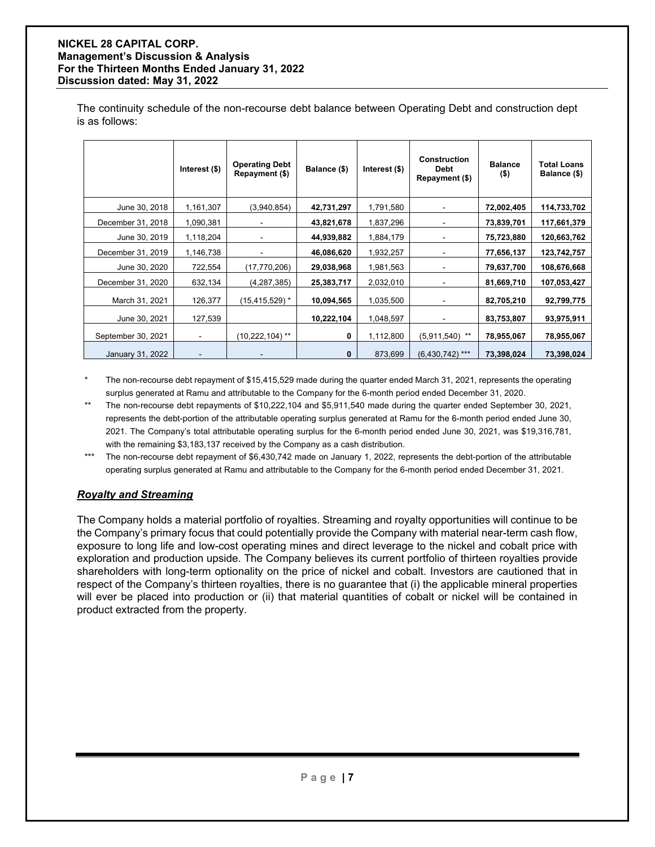The continuity schedule of the non-recourse debt balance between Operating Debt and construction dept is as follows:

|                    | Interest (\$)  | <b>Operating Debt</b><br>Repayment (\$) | Balance (\$) | Interest (\$) | <b>Construction</b><br>Debt<br>Repayment (\$) | <b>Balance</b><br>$($ \$) | <b>Total Loans</b><br>Balance (\$) |
|--------------------|----------------|-----------------------------------------|--------------|---------------|-----------------------------------------------|---------------------------|------------------------------------|
| June 30, 2018      | 1,161,307      | (3,940,854)                             | 42,731,297   | 1,791,580     |                                               | 72,002,405                | 114,733,702                        |
| December 31, 2018  | 1,090,381      |                                         | 43,821,678   | 1,837,296     |                                               | 73,839,701                | 117,661,379                        |
| June 30, 2019      | 1,118,204      |                                         | 44,939,882   | 1,884,179     |                                               | 75,723,880                | 120,663,762                        |
| December 31, 2019  | 1,146,738      |                                         | 46,086,620   | 1,932,257     |                                               | 77,656,137                | 123,742,757                        |
| June 30, 2020      | 722,554        | (17,770,206)                            | 29,038,968   | 1,981,563     |                                               | 79,637,700                | 108,676,668                        |
| December 31, 2020  | 632,134        | (4, 287, 385)                           | 25,383,717   | 2,032,010     | $\blacksquare$                                | 81,669,710                | 107,053,427                        |
| March 31, 2021     | 126,377        | (15,415,529) *                          | 10,094,565   | 1,035,500     | $\blacksquare$                                | 82,705,210                | 92,799,775                         |
| June 30, 2021      | 127,539        |                                         | 10,222,104   | 1,048,597     |                                               | 83,753,807                | 93,975,911                         |
| September 30, 2021 | $\blacksquare$ | (10,222,104) **                         | 0            | 1,112,800     | $(5,911,540)$ **                              | 78,955,067                | 78,955,067                         |
| January 31, 2022   |                |                                         | 0            | 873,699       | $(6,430,742)$ ***                             | 73,398,024                | 73,398,024                         |

The non-recourse debt repayment of \$15,415,529 made during the quarter ended March 31, 2021, represents the operating surplus generated at Ramu and attributable to the Company for the 6-month period ended December 31, 2020.

- The non-recourse debt repayments of \$10,222,104 and \$5,911,540 made during the quarter ended September 30, 2021, represents the debt-portion of the attributable operating surplus generated at Ramu for the 6-month period ended June 30, 2021. The Company's total attributable operating surplus for the 6-month period ended June 30, 2021, was \$19,316,781, with the remaining \$3,183,137 received by the Company as a cash distribution.
- \*\*\* The non-recourse debt repayment of \$6,430,742 made on January 1, 2022, represents the debt-portion of the attributable operating surplus generated at Ramu and attributable to the Company for the 6-month period ended December 31, 2021.

## *Royalty and Streaming*

The Company holds a material portfolio of royalties. Streaming and royalty opportunities will continue to be the Company's primary focus that could potentially provide the Company with material near-term cash flow, exposure to long life and low-cost operating mines and direct leverage to the nickel and cobalt price with exploration and production upside. The Company believes its current portfolio of thirteen royalties provide shareholders with long-term optionality on the price of nickel and cobalt. Investors are cautioned that in respect of the Company's thirteen royalties, there is no guarantee that (i) the applicable mineral properties will ever be placed into production or (ii) that material quantities of cobalt or nickel will be contained in product extracted from the property.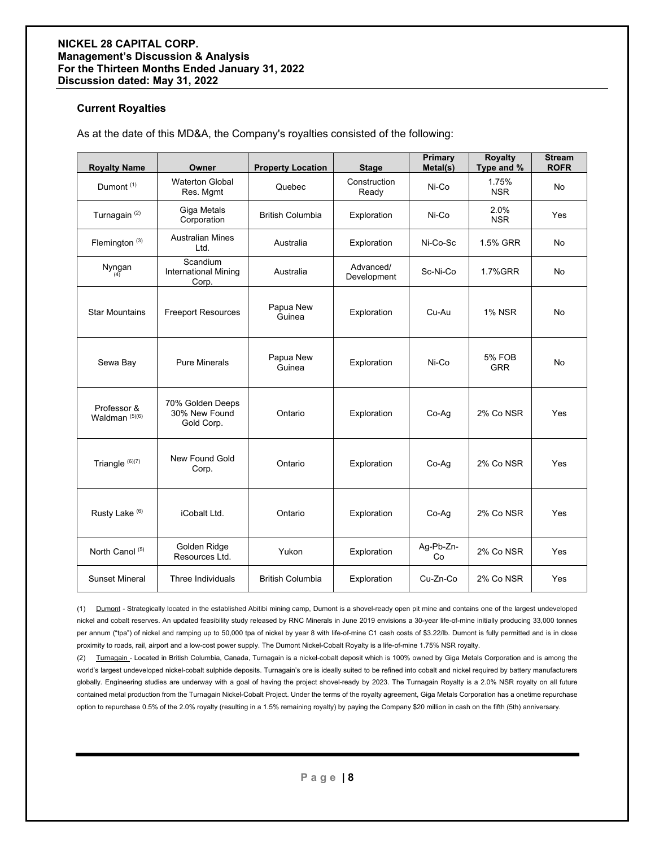#### **Current Royalties**

As at the date of this MD&A, the Company's royalties consisted of the following:

| <b>Royalty Name</b>                      | Owner                                            | <b>Property Location</b> | <b>Stage</b>             | Primary<br>Metal(s) | <b>Royalty</b><br>Type and % | <b>Stream</b><br><b>ROFR</b> |
|------------------------------------------|--------------------------------------------------|--------------------------|--------------------------|---------------------|------------------------------|------------------------------|
| Dumont <sup>(1)</sup>                    | <b>Waterton Global</b><br>Res. Mgmt              | Quebec                   | Construction<br>Ready    | Ni-Co               | 1.75%<br><b>NSR</b>          | No                           |
| Turnagain <sup>(2)</sup>                 | Giga Metals<br>Corporation                       | <b>British Columbia</b>  | Exploration              | Ni-Co               | 2.0%<br><b>NSR</b>           | <b>Yes</b>                   |
| Flemington $(3)$                         | <b>Australian Mines</b><br>l td                  | Australia                | Exploration              | Ni-Co-Sc            | 1.5% GRR                     | No                           |
| Nyngan<br>(4)                            | Scandium<br><b>International Mining</b><br>Corp. | Australia                | Advanced/<br>Development | Sc-Ni-Co            | <b>1.7%GRR</b>               | No                           |
| <b>Star Mountains</b>                    | <b>Freeport Resources</b>                        | Papua New<br>Guinea      | Exploration              | Cu-Au               | <b>1% NSR</b>                | No                           |
| Sewa Bay                                 | <b>Pure Minerals</b>                             | Papua New<br>Guinea      | Exploration              | Ni-Co               | <b>5% FOB</b><br><b>GRR</b>  | No                           |
| Professor &<br>Waldman <sup>(5)(6)</sup> | 70% Golden Deeps<br>30% New Found<br>Gold Corp.  | Ontario                  | Exploration              | Co-Aq               | 2% Co NSR                    | Yes                          |
| Triangle (6)(7)                          | New Found Gold<br>Corp.                          | Ontario                  | Exploration              | Co-Aq               | 2% Co NSR                    | Yes                          |
| Rusty Lake <sup>(6)</sup>                | iCobalt Ltd.                                     | Ontario                  | Exploration              | Co-Aq               | 2% Co NSR                    | Yes                          |
| North Canol (5)                          | Golden Ridge<br>Resources Ltd.                   | Yukon                    | Exploration              | Ag-Pb-Zn-<br>Co     | 2% Co NSR                    | Yes                          |
| <b>Sunset Mineral</b>                    | Three Individuals                                | <b>British Columbia</b>  | Exploration              | Cu-Zn-Co            | 2% Co NSR                    | Yes                          |

(1) Dumont - Strategically located in the established Abitibi mining camp, Dumont is a shovel-ready open pit mine and contains one of the largest undeveloped nickel and cobalt reserves. An updated feasibility study released by RNC Minerals in June 2019 envisions a 30-year life-of-mine initially producing 33,000 tonnes per annum ("tpa") of nickel and ramping up to 50,000 tpa of nickel by year 8 with life-of-mine C1 cash costs of \$3.22/lb. Dumont is fully permitted and is in close proximity to roads, rail, airport and a low-cost power supply. The Dumont Nickel-Cobalt Royalty is a life-of-mine 1.75% NSR royalty.

(2) Turnagain - Located in British Columbia, Canada, Turnagain is a nickel-cobalt deposit which is 100% owned by Giga Metals Corporation and is among the world's largest undeveloped nickel-cobalt sulphide deposits. Turnagain's ore is ideally suited to be refined into cobalt and nickel required by battery manufacturers globally. Engineering studies are underway with a goal of having the project shovel-ready by 2023. The Turnagain Royalty is a 2.0% NSR royalty on all future contained metal production from the Turnagain Nickel-Cobalt Project. Under the terms of the royalty agreement, Giga Metals Corporation has a onetime repurchase option to repurchase 0.5% of the 2.0% royalty (resulting in a 1.5% remaining royalty) by paying the Company \$20 million in cash on the fifth (5th) anniversary.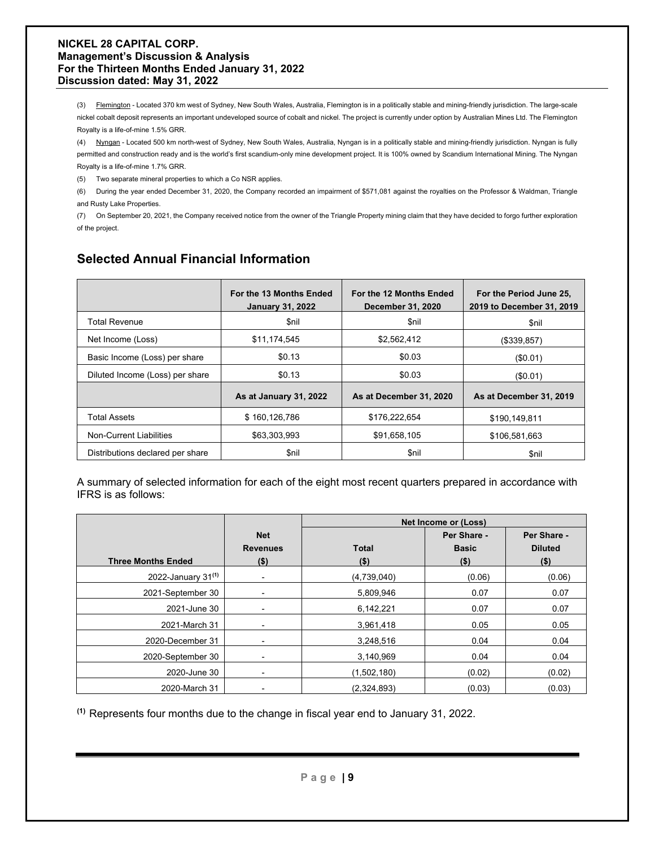(3) Flemington - Located 370 km west of Sydney, New South Wales, Australia, Flemington is in a politically stable and mining-friendly jurisdiction. The large-scale nickel cobalt deposit represents an important undeveloped source of cobalt and nickel. The project is currently under option by Australian Mines Ltd. The Flemington Royalty is a life-of-mine 1.5% GRR.

(4) Nyngan - Located 500 km north-west of Sydney, New South Wales, Australia, Nyngan is in a politically stable and mining-friendly jurisdiction. Nyngan is fully permitted and construction ready and is the world's first scandium-only mine development project. It is 100% owned by Scandium International Mining. The Nyngan Royalty is a life-of-mine 1.7% GRR.

(5) Two separate mineral properties to which a Co NSR applies.

(6) During the year ended December 31, 2020, the Company recorded an impairment of \$571,081 against the royalties on the Professor & Waldman, Triangle and Rusty Lake Properties.

(7) On September 20, 2021, the Company received notice from the owner of the Triangle Property mining claim that they have decided to forgo further exploration of the project.

|                                  | For the 13 Months Ended<br><b>January 31, 2022</b> | For the 12 Months Ended<br><b>December 31, 2020</b> | For the Period June 25,<br>2019 to December 31, 2019 |
|----------------------------------|----------------------------------------------------|-----------------------------------------------------|------------------------------------------------------|
| <b>Total Revenue</b>             | \$nil                                              | \$nil                                               | \$nil                                                |
| Net Income (Loss)                | \$11,174,545                                       | \$2,562,412                                         | (\$339.857)                                          |
| Basic Income (Loss) per share    | \$0.13                                             | \$0.03                                              | (S0.01)                                              |
| Diluted Income (Loss) per share  | \$0.13                                             | \$0.03                                              | (S0.01)                                              |
|                                  | As at January 31, 2022                             | As at December 31, 2020                             | As at December 31, 2019                              |
| <b>Total Assets</b>              | \$160,126,786                                      | \$176,222,654                                       | \$190,149,811                                        |
| Non-Current Liabilities          | \$63,303,993                                       | \$91,658,105                                        | \$106,581,663                                        |
| Distributions declared per share | \$nil                                              | \$nil                                               | \$nil                                                |

## **Selected Annual Financial Information**

A summary of selected information for each of the eight most recent quarters prepared in accordance with IFRS is as follows:

|                           |                                          | Net Income or (Loss)    |                                        |                                          |  |
|---------------------------|------------------------------------------|-------------------------|----------------------------------------|------------------------------------------|--|
| <b>Three Months Ended</b> | <b>Net</b><br><b>Revenues</b><br>$($ \$) | <b>Total</b><br>$($ \$) | Per Share -<br><b>Basic</b><br>$($ \$) | Per Share -<br><b>Diluted</b><br>$($ \$) |  |
| 2022-January $31^{(1)}$   |                                          | (4,739,040)             | (0.06)                                 | (0.06)                                   |  |
| 2021-September 30         |                                          | 5,809,946               | 0.07                                   | 0.07                                     |  |
| 2021-June 30              | -                                        | 6,142,221               | 0.07                                   | 0.07                                     |  |
| 2021-March 31             | ۰                                        | 3,961,418               | 0.05                                   | 0.05                                     |  |
| 2020-December 31          | $\blacksquare$                           | 3,248,516               | 0.04                                   | 0.04                                     |  |
| 2020-September 30         | ۰                                        | 3,140,969               | 0.04                                   | 0.04                                     |  |
| 2020-June 30              | ۰                                        | (1,502,180)             | (0.02)                                 | (0.02)                                   |  |
| 2020-March 31             |                                          | (2,324,893)             | (0.03)                                 | (0.03)                                   |  |

**(1)** Represents four months due to the change in fiscal year end to January 31, 2022.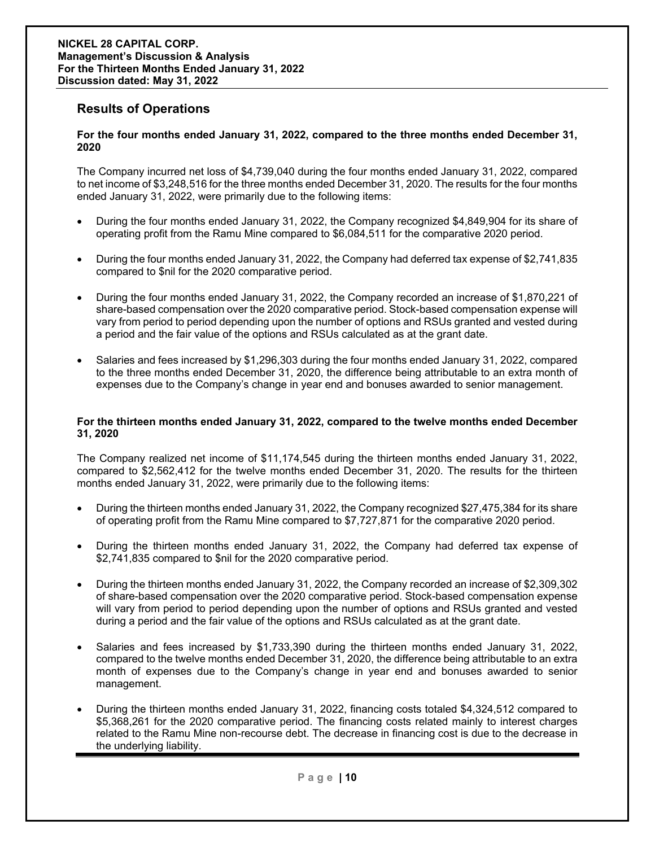## **Results of Operations**

#### **For the four months ended January 31, 2022, compared to the three months ended December 31, 2020**

The Company incurred net loss of \$4,739,040 during the four months ended January 31, 2022, compared to net income of \$3,248,516 for the three months ended December 31, 2020. The results for the four months ended January 31, 2022, were primarily due to the following items:

- During the four months ended January 31, 2022, the Company recognized \$4,849,904 for its share of operating profit from the Ramu Mine compared to \$6,084,511 for the comparative 2020 period.
- During the four months ended January 31, 2022, the Company had deferred tax expense of \$2,741,835 compared to \$nil for the 2020 comparative period.
- During the four months ended January 31, 2022, the Company recorded an increase of \$1,870,221 of share-based compensation over the 2020 comparative period. Stock-based compensation expense will vary from period to period depending upon the number of options and RSUs granted and vested during a period and the fair value of the options and RSUs calculated as at the grant date.
- Salaries and fees increased by \$1,296,303 during the four months ended January 31, 2022, compared to the three months ended December 31, 2020, the difference being attributable to an extra month of expenses due to the Company's change in year end and bonuses awarded to senior management.

#### **For the thirteen months ended January 31, 2022, compared to the twelve months ended December 31, 2020**

The Company realized net income of \$11,174,545 during the thirteen months ended January 31, 2022, compared to \$2,562,412 for the twelve months ended December 31, 2020. The results for the thirteen months ended January 31, 2022, were primarily due to the following items:

- During the thirteen months ended January 31, 2022, the Company recognized \$27,475,384 for its share of operating profit from the Ramu Mine compared to \$7,727,871 for the comparative 2020 period.
- During the thirteen months ended January 31, 2022, the Company had deferred tax expense of \$2,741,835 compared to \$nil for the 2020 comparative period.
- During the thirteen months ended January 31, 2022, the Company recorded an increase of \$2,309,302 of share-based compensation over the 2020 comparative period. Stock-based compensation expense will vary from period to period depending upon the number of options and RSUs granted and vested during a period and the fair value of the options and RSUs calculated as at the grant date.
- Salaries and fees increased by \$1,733,390 during the thirteen months ended January 31, 2022, compared to the twelve months ended December 31, 2020, the difference being attributable to an extra month of expenses due to the Company's change in year end and bonuses awarded to senior management.
- During the thirteen months ended January 31, 2022, financing costs totaled \$4,324,512 compared to \$5,368,261 for the 2020 comparative period. The financing costs related mainly to interest charges related to the Ramu Mine non-recourse debt. The decrease in financing cost is due to the decrease in the underlying liability.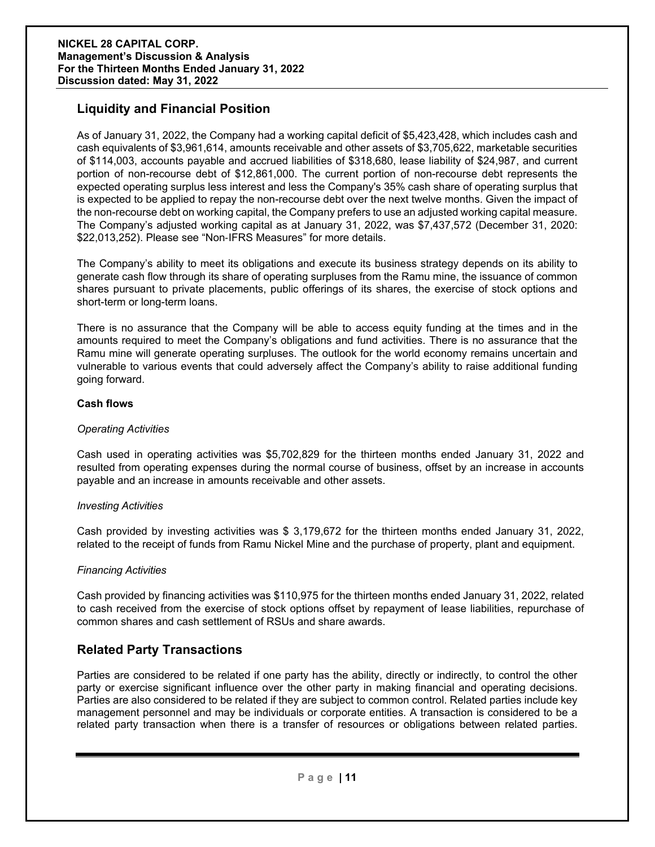## **Liquidity and Financial Position**

As of January 31, 2022, the Company had a working capital deficit of \$5,423,428, which includes cash and cash equivalents of \$3,961,614, amounts receivable and other assets of \$3,705,622, marketable securities of \$114,003, accounts payable and accrued liabilities of \$318,680, lease liability of \$24,987, and current portion of non-recourse debt of \$12,861,000. The current portion of non-recourse debt represents the expected operating surplus less interest and less the Company's 35% cash share of operating surplus that is expected to be applied to repay the non-recourse debt over the next twelve months. Given the impact of the non-recourse debt on working capital, the Company prefers to use an adjusted working capital measure. The Company's adjusted working capital as at January 31, 2022, was \$7,437,572 (December 31, 2020: \$22,013,252). Please see "Non-IFRS Measures" for more details.

The Company's ability to meet its obligations and execute its business strategy depends on its ability to generate cash flow through its share of operating surpluses from the Ramu mine, the issuance of common shares pursuant to private placements, public offerings of its shares, the exercise of stock options and short-term or long-term loans.

There is no assurance that the Company will be able to access equity funding at the times and in the amounts required to meet the Company's obligations and fund activities. There is no assurance that the Ramu mine will generate operating surpluses. The outlook for the world economy remains uncertain and vulnerable to various events that could adversely affect the Company's ability to raise additional funding going forward.

#### **Cash flows**

#### *Operating Activities*

Cash used in operating activities was \$5,702,829 for the thirteen months ended January 31, 2022 and resulted from operating expenses during the normal course of business, offset by an increase in accounts payable and an increase in amounts receivable and other assets.

#### *Investing Activities*

Cash provided by investing activities was \$ 3,179,672 for the thirteen months ended January 31, 2022, related to the receipt of funds from Ramu Nickel Mine and the purchase of property, plant and equipment.

#### *Financing Activities*

Cash provided by financing activities was \$110,975 for the thirteen months ended January 31, 2022, related to cash received from the exercise of stock options offset by repayment of lease liabilities, repurchase of common shares and cash settlement of RSUs and share awards.

## **Related Party Transactions**

Parties are considered to be related if one party has the ability, directly or indirectly, to control the other party or exercise significant influence over the other party in making financial and operating decisions. Parties are also considered to be related if they are subject to common control. Related parties include key management personnel and may be individuals or corporate entities. A transaction is considered to be a related party transaction when there is a transfer of resources or obligations between related parties.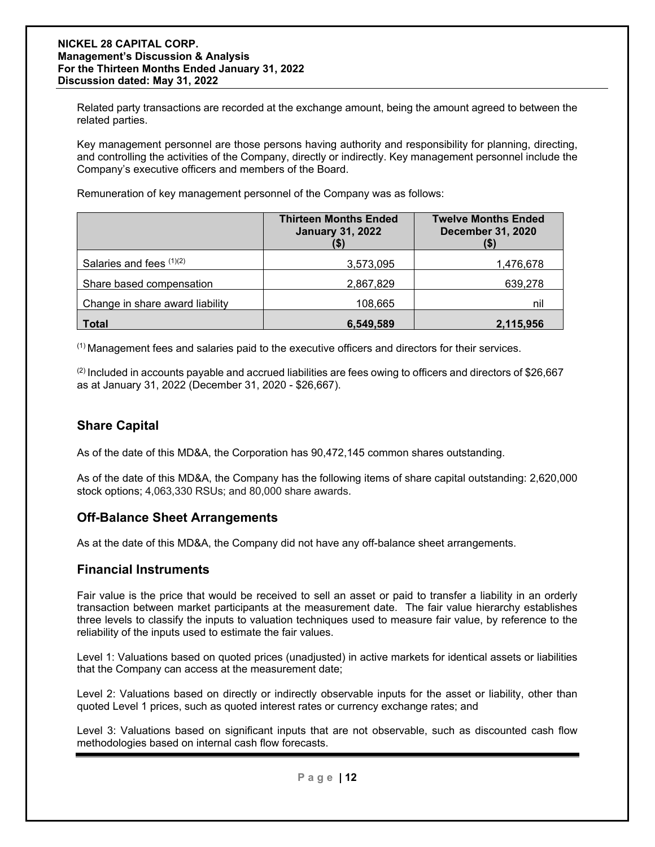Related party transactions are recorded at the exchange amount, being the amount agreed to between the related parties.

Key management personnel are those persons having authority and responsibility for planning, directing, and controlling the activities of the Company, directly or indirectly. Key management personnel include the Company's executive officers and members of the Board.

Remuneration of key management personnel of the Company was as follows:

|                                 | <b>Thirteen Months Ended</b><br><b>January 31, 2022</b> | <b>Twelve Months Ended</b><br><b>December 31, 2020</b> |
|---------------------------------|---------------------------------------------------------|--------------------------------------------------------|
| Salaries and fees $(1)(2)$      | 3,573,095                                               | 1,476,678                                              |
| Share based compensation        | 2,867,829                                               | 639,278                                                |
| Change in share award liability | 108,665                                                 | nil                                                    |
| <b>Total</b>                    | 6,549,589                                               | 2,115,956                                              |

 $<sup>(1)</sup>$  Management fees and salaries paid to the executive officers and directors for their services.</sup>

 $(2)$  Included in accounts payable and accrued liabilities are fees owing to officers and directors of \$26,667 as at January 31, 2022 (December 31, 2020 - \$26,667).

## **Share Capital**

As of the date of this MD&A, the Corporation has 90,472,145 common shares outstanding.

As of the date of this MD&A, the Company has the following items of share capital outstanding: 2,620,000 stock options; 4,063,330 RSUs; and 80,000 share awards.

## **Off-Balance Sheet Arrangements**

As at the date of this MD&A, the Company did not have any off-balance sheet arrangements.

#### **Financial Instruments**

Fair value is the price that would be received to sell an asset or paid to transfer a liability in an orderly transaction between market participants at the measurement date. The fair value hierarchy establishes three levels to classify the inputs to valuation techniques used to measure fair value, by reference to the reliability of the inputs used to estimate the fair values.

Level 1: Valuations based on quoted prices (unadjusted) in active markets for identical assets or liabilities that the Company can access at the measurement date;

Level 2: Valuations based on directly or indirectly observable inputs for the asset or liability, other than quoted Level 1 prices, such as quoted interest rates or currency exchange rates; and

Level 3: Valuations based on significant inputs that are not observable, such as discounted cash flow methodologies based on internal cash flow forecasts.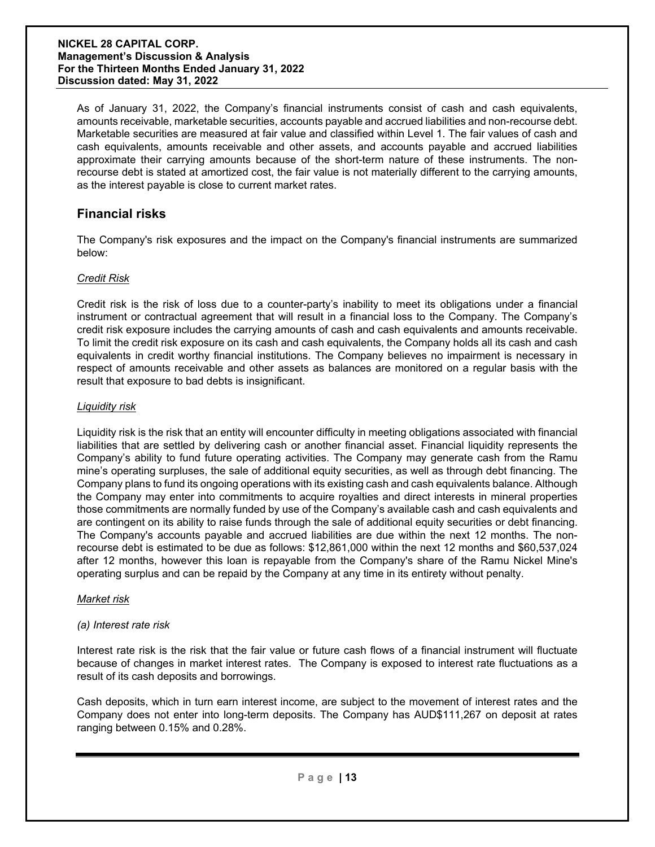As of January 31, 2022, the Company's financial instruments consist of cash and cash equivalents, amounts receivable, marketable securities, accounts payable and accrued liabilities and non-recourse debt. Marketable securities are measured at fair value and classified within Level 1. The fair values of cash and cash equivalents, amounts receivable and other assets, and accounts payable and accrued liabilities approximate their carrying amounts because of the short-term nature of these instruments. The nonrecourse debt is stated at amortized cost, the fair value is not materially different to the carrying amounts, as the interest payable is close to current market rates.

## **Financial risks**

The Company's risk exposures and the impact on the Company's financial instruments are summarized below:

#### *Credit Risk*

Credit risk is the risk of loss due to a counter-party's inability to meet its obligations under a financial instrument or contractual agreement that will result in a financial loss to the Company. The Company's credit risk exposure includes the carrying amounts of cash and cash equivalents and amounts receivable. To limit the credit risk exposure on its cash and cash equivalents, the Company holds all its cash and cash equivalents in credit worthy financial institutions. The Company believes no impairment is necessary in respect of amounts receivable and other assets as balances are monitored on a regular basis with the result that exposure to bad debts is insignificant.

#### *Liquidity risk*

Liquidity risk is the risk that an entity will encounter difficulty in meeting obligations associated with financial liabilities that are settled by delivering cash or another financial asset. Financial liquidity represents the Company's ability to fund future operating activities. The Company may generate cash from the Ramu mine's operating surpluses, the sale of additional equity securities, as well as through debt financing. The Company plans to fund its ongoing operations with its existing cash and cash equivalents balance. Although the Company may enter into commitments to acquire royalties and direct interests in mineral properties those commitments are normally funded by use of the Company's available cash and cash equivalents and are contingent on its ability to raise funds through the sale of additional equity securities or debt financing. The Company's accounts payable and accrued liabilities are due within the next 12 months. The nonrecourse debt is estimated to be due as follows: \$12,861,000 within the next 12 months and \$60,537,024 after 12 months, however this loan is repayable from the Company's share of the Ramu Nickel Mine's operating surplus and can be repaid by the Company at any time in its entirety without penalty.

#### *Market risk*

#### *(a) Interest rate risk*

Interest rate risk is the risk that the fair value or future cash flows of a financial instrument will fluctuate because of changes in market interest rates. The Company is exposed to interest rate fluctuations as a result of its cash deposits and borrowings.

Cash deposits, which in turn earn interest income, are subject to the movement of interest rates and the Company does not enter into long-term deposits. The Company has AUD\$111,267 on deposit at rates ranging between 0.15% and 0.28%.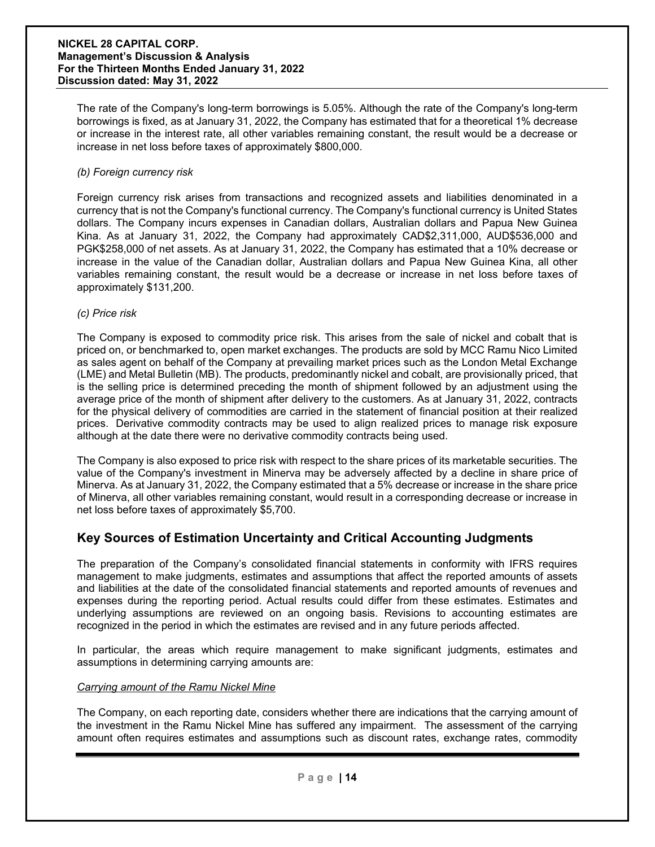The rate of the Company's long-term borrowings is 5.05%. Although the rate of the Company's long-term borrowings is fixed, as at January 31, 2022, the Company has estimated that for a theoretical 1% decrease or increase in the interest rate, all other variables remaining constant, the result would be a decrease or increase in net loss before taxes of approximately \$800,000.

#### *(b) Foreign currency risk*

Foreign currency risk arises from transactions and recognized assets and liabilities denominated in a currency that is not the Company's functional currency. The Company's functional currency is United States dollars. The Company incurs expenses in Canadian dollars, Australian dollars and Papua New Guinea Kina. As at January 31, 2022, the Company had approximately CAD\$2,311,000, AUD\$536,000 and PGK\$258,000 of net assets. As at January 31, 2022, the Company has estimated that a 10% decrease or increase in the value of the Canadian dollar, Australian dollars and Papua New Guinea Kina, all other variables remaining constant, the result would be a decrease or increase in net loss before taxes of approximately \$131,200.

#### *(c) Price risk*

The Company is exposed to commodity price risk. This arises from the sale of nickel and cobalt that is priced on, or benchmarked to, open market exchanges. The products are sold by MCC Ramu Nico Limited as sales agent on behalf of the Company at prevailing market prices such as the London Metal Exchange (LME) and Metal Bulletin (MB). The products, predominantly nickel and cobalt, are provisionally priced, that is the selling price is determined preceding the month of shipment followed by an adjustment using the average price of the month of shipment after delivery to the customers. As at January 31, 2022, contracts for the physical delivery of commodities are carried in the statement of financial position at their realized prices. Derivative commodity contracts may be used to align realized prices to manage risk exposure although at the date there were no derivative commodity contracts being used.

The Company is also exposed to price risk with respect to the share prices of its marketable securities. The value of the Company's investment in Minerva may be adversely affected by a decline in share price of Minerva. As at January 31, 2022, the Company estimated that a 5% decrease or increase in the share price of Minerva, all other variables remaining constant, would result in a corresponding decrease or increase in net loss before taxes of approximately \$5,700.

## **Key Sources of Estimation Uncertainty and Critical Accounting Judgments**

The preparation of the Company's consolidated financial statements in conformity with IFRS requires management to make judgments, estimates and assumptions that affect the reported amounts of assets and liabilities at the date of the consolidated financial statements and reported amounts of revenues and expenses during the reporting period. Actual results could differ from these estimates. Estimates and underlying assumptions are reviewed on an ongoing basis. Revisions to accounting estimates are recognized in the period in which the estimates are revised and in any future periods affected.

In particular, the areas which require management to make significant judgments, estimates and assumptions in determining carrying amounts are:

#### *Carrying amount of the Ramu Nickel Mine*

The Company, on each reporting date, considers whether there are indications that the carrying amount of the investment in the Ramu Nickel Mine has suffered any impairment. The assessment of the carrying amount often requires estimates and assumptions such as discount rates, exchange rates, commodity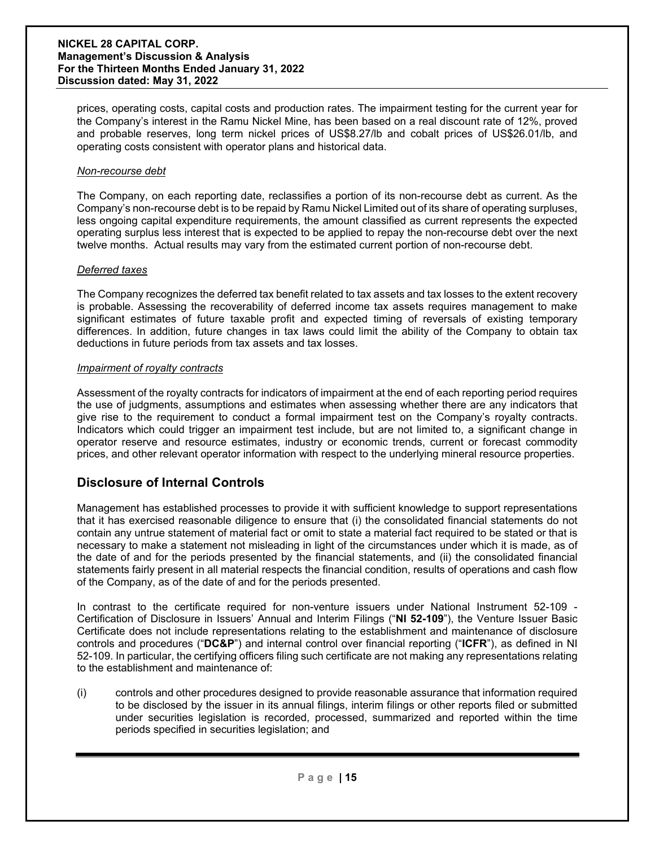prices, operating costs, capital costs and production rates. The impairment testing for the current year for the Company's interest in the Ramu Nickel Mine, has been based on a real discount rate of 12%, proved and probable reserves, long term nickel prices of US\$8.27/lb and cobalt prices of US\$26.01/lb, and operating costs consistent with operator plans and historical data.

#### *Non-recourse debt*

The Company, on each reporting date, reclassifies a portion of its non-recourse debt as current. As the Company's non-recourse debt is to be repaid by Ramu Nickel Limited out of its share of operating surpluses, less ongoing capital expenditure requirements, the amount classified as current represents the expected operating surplus less interest that is expected to be applied to repay the non-recourse debt over the next twelve months. Actual results may vary from the estimated current portion of non-recourse debt.

#### *Deferred taxes*

The Company recognizes the deferred tax benefit related to tax assets and tax losses to the extent recovery is probable. Assessing the recoverability of deferred income tax assets requires management to make significant estimates of future taxable profit and expected timing of reversals of existing temporary differences. In addition, future changes in tax laws could limit the ability of the Company to obtain tax deductions in future periods from tax assets and tax losses.

#### *Impairment of royalty contracts*

Assessment of the royalty contracts for indicators of impairment at the end of each reporting period requires the use of judgments, assumptions and estimates when assessing whether there are any indicators that give rise to the requirement to conduct a formal impairment test on the Company's royalty contracts. Indicators which could trigger an impairment test include, but are not limited to, a significant change in operator reserve and resource estimates, industry or economic trends, current or forecast commodity prices, and other relevant operator information with respect to the underlying mineral resource properties.

## **Disclosure of Internal Controls**

Management has established processes to provide it with sufficient knowledge to support representations that it has exercised reasonable diligence to ensure that (i) the consolidated financial statements do not contain any untrue statement of material fact or omit to state a material fact required to be stated or that is necessary to make a statement not misleading in light of the circumstances under which it is made, as of the date of and for the periods presented by the financial statements, and (ii) the consolidated financial statements fairly present in all material respects the financial condition, results of operations and cash flow of the Company, as of the date of and for the periods presented.

In contrast to the certificate required for non-venture issuers under National Instrument 52-109 - Certification of Disclosure in Issuers' Annual and Interim Filings ("**NI 52-109**"), the Venture Issuer Basic Certificate does not include representations relating to the establishment and maintenance of disclosure controls and procedures ("**DC&P**") and internal control over financial reporting ("**ICFR**"), as defined in NI 52-109. In particular, the certifying officers filing such certificate are not making any representations relating to the establishment and maintenance of:

(i) controls and other procedures designed to provide reasonable assurance that information required to be disclosed by the issuer in its annual filings, interim filings or other reports filed or submitted under securities legislation is recorded, processed, summarized and reported within the time periods specified in securities legislation; and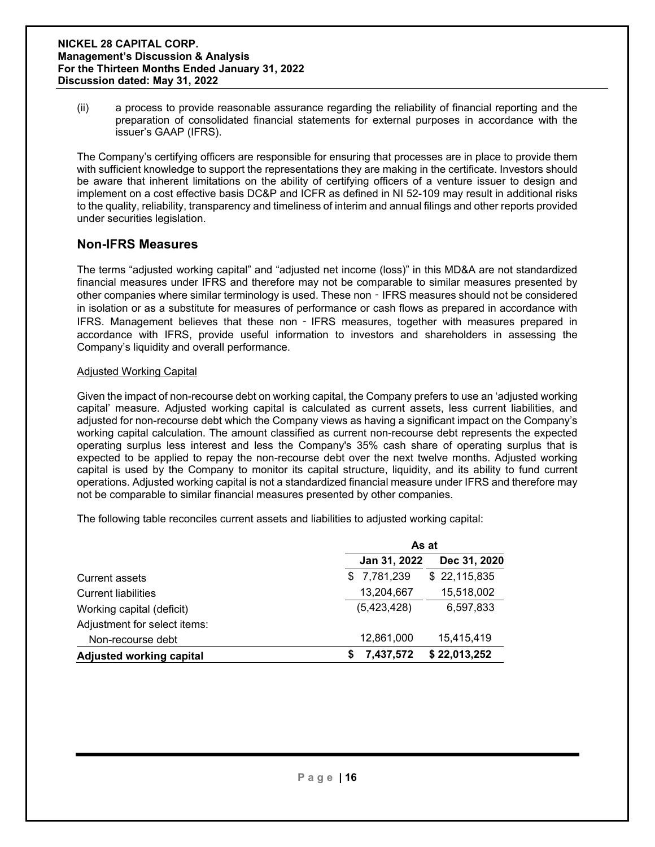(ii) a process to provide reasonable assurance regarding the reliability of financial reporting and the preparation of consolidated financial statements for external purposes in accordance with the issuer's GAAP (IFRS).

The Company's certifying officers are responsible for ensuring that processes are in place to provide them with sufficient knowledge to support the representations they are making in the certificate. Investors should be aware that inherent limitations on the ability of certifying officers of a venture issuer to design and implement on a cost effective basis DC&P and ICFR as defined in NI 52-109 may result in additional risks to the quality, reliability, transparency and timeliness of interim and annual filings and other reports provided under securities legislation.

## **Non-IFRS Measures**

The terms "adjusted working capital" and "adjusted net income (loss)" in this MD&A are not standardized financial measures under IFRS and therefore may not be comparable to similar measures presented by other companies where similar terminology is used. These non - IFRS measures should not be considered in isolation or as a substitute for measures of performance or cash flows as prepared in accordance with IFRS. Management believes that these non - IFRS measures, together with measures prepared in accordance with IFRS, provide useful information to investors and shareholders in assessing the Company's liquidity and overall performance.

#### Adjusted Working Capital

Given the impact of non-recourse debt on working capital, the Company prefers to use an 'adjusted working capital' measure. Adjusted working capital is calculated as current assets, less current liabilities, and adjusted for non-recourse debt which the Company views as having a significant impact on the Company's working capital calculation. The amount classified as current non-recourse debt represents the expected operating surplus less interest and less the Company's 35% cash share of operating surplus that is expected to be applied to repay the non-recourse debt over the next twelve months. Adjusted working capital is used by the Company to monitor its capital structure, liquidity, and its ability to fund current operations. Adjusted working capital is not a standardized financial measure under IFRS and therefore may not be comparable to similar financial measures presented by other companies.

The following table reconciles current assets and liabilities to adjusted working capital:

|                                 |                | As at        |  |  |
|---------------------------------|----------------|--------------|--|--|
|                                 | Jan 31, 2022   | Dec 31, 2020 |  |  |
| <b>Current assets</b>           | \$7,781,239    | \$22,115,835 |  |  |
| <b>Current liabilities</b>      | 13,204,667     | 15,518,002   |  |  |
| Working capital (deficit)       | (5,423,428)    | 6,597,833    |  |  |
| Adjustment for select items:    |                |              |  |  |
| Non-recourse debt               | 12,861,000     | 15,415,419   |  |  |
| <b>Adjusted working capital</b> | 7,437,572<br>S | \$22,013,252 |  |  |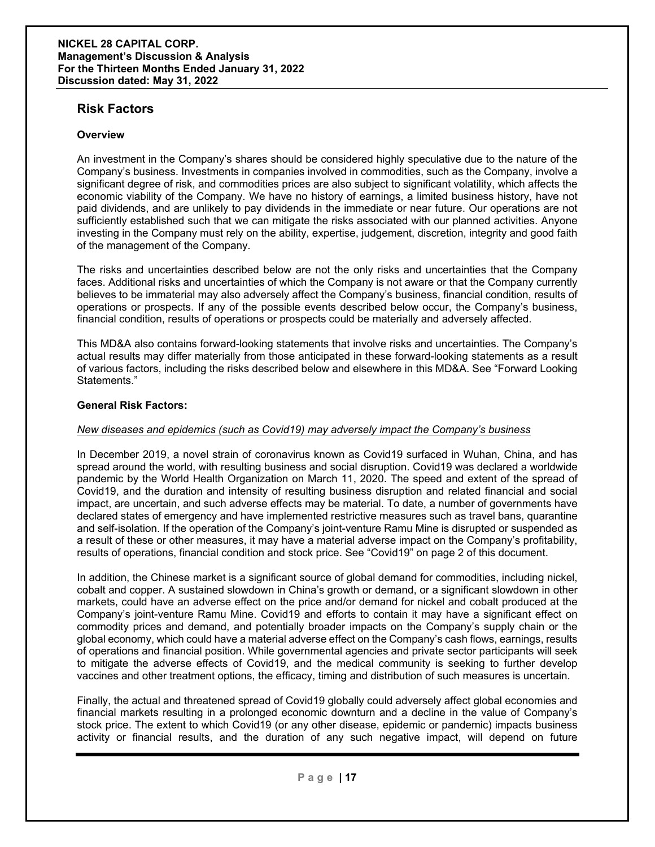### **Risk Factors**

#### **Overview**

An investment in the Company's shares should be considered highly speculative due to the nature of the Company's business. Investments in companies involved in commodities, such as the Company, involve a significant degree of risk, and commodities prices are also subject to significant volatility, which affects the economic viability of the Company. We have no history of earnings, a limited business history, have not paid dividends, and are unlikely to pay dividends in the immediate or near future. Our operations are not sufficiently established such that we can mitigate the risks associated with our planned activities. Anyone investing in the Company must rely on the ability, expertise, judgement, discretion, integrity and good faith of the management of the Company.

The risks and uncertainties described below are not the only risks and uncertainties that the Company faces. Additional risks and uncertainties of which the Company is not aware or that the Company currently believes to be immaterial may also adversely affect the Company's business, financial condition, results of operations or prospects. If any of the possible events described below occur, the Company's business, financial condition, results of operations or prospects could be materially and adversely affected.

This MD&A also contains forward-looking statements that involve risks and uncertainties. The Company's actual results may differ materially from those anticipated in these forward-looking statements as a result of various factors, including the risks described below and elsewhere in this MD&A. See "Forward Looking Statements."

#### **General Risk Factors:**

#### *New diseases and epidemics (such as Covid19) may adversely impact the Company's business*

In December 2019, a novel strain of coronavirus known as Covid19 surfaced in Wuhan, China, and has spread around the world, with resulting business and social disruption. Covid19 was declared a worldwide pandemic by the World Health Organization on March 11, 2020. The speed and extent of the spread of Covid19, and the duration and intensity of resulting business disruption and related financial and social impact, are uncertain, and such adverse effects may be material. To date, a number of governments have declared states of emergency and have implemented restrictive measures such as travel bans, quarantine and self-isolation. If the operation of the Company's joint-venture Ramu Mine is disrupted or suspended as a result of these or other measures, it may have a material adverse impact on the Company's profitability, results of operations, financial condition and stock price. See "Covid19" on page 2 of this document.

In addition, the Chinese market is a significant source of global demand for commodities, including nickel, cobalt and copper. A sustained slowdown in China's growth or demand, or a significant slowdown in other markets, could have an adverse effect on the price and/or demand for nickel and cobalt produced at the Company's joint-venture Ramu Mine. Covid19 and efforts to contain it may have a significant effect on commodity prices and demand, and potentially broader impacts on the Company's supply chain or the global economy, which could have a material adverse effect on the Company's cash flows, earnings, results of operations and financial position. While governmental agencies and private sector participants will seek to mitigate the adverse effects of Covid19, and the medical community is seeking to further develop vaccines and other treatment options, the efficacy, timing and distribution of such measures is uncertain.

Finally, the actual and threatened spread of Covid19 globally could adversely affect global economies and financial markets resulting in a prolonged economic downturn and a decline in the value of Company's stock price. The extent to which Covid19 (or any other disease, epidemic or pandemic) impacts business activity or financial results, and the duration of any such negative impact, will depend on future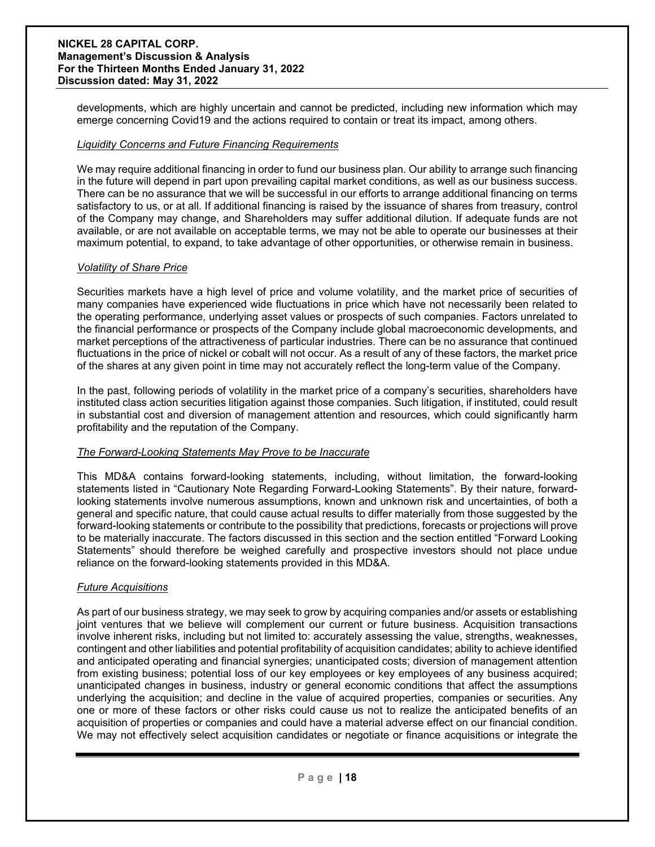developments, which are highly uncertain and cannot be predicted, including new information which may emerge concerning Covid19 and the actions required to contain or treat its impact, among others.

#### *Liquidity Concerns and Future Financing Requirements*

We may require additional financing in order to fund our business plan. Our ability to arrange such financing in the future will depend in part upon prevailing capital market conditions, as well as our business success. There can be no assurance that we will be successful in our efforts to arrange additional financing on terms satisfactory to us, or at all. If additional financing is raised by the issuance of shares from treasury, control of the Company may change, and Shareholders may suffer additional dilution. If adequate funds are not available, or are not available on acceptable terms, we may not be able to operate our businesses at their maximum potential, to expand, to take advantage of other opportunities, or otherwise remain in business.

#### *Volatility of Share Price*

Securities markets have a high level of price and volume volatility, and the market price of securities of many companies have experienced wide fluctuations in price which have not necessarily been related to the operating performance, underlying asset values or prospects of such companies. Factors unrelated to the financial performance or prospects of the Company include global macroeconomic developments, and market perceptions of the attractiveness of particular industries. There can be no assurance that continued fluctuations in the price of nickel or cobalt will not occur. As a result of any of these factors, the market price of the shares at any given point in time may not accurately reflect the long-term value of the Company.

In the past, following periods of volatility in the market price of a company's securities, shareholders have instituted class action securities litigation against those companies. Such litigation, if instituted, could result in substantial cost and diversion of management attention and resources, which could significantly harm profitability and the reputation of the Company.

#### *The Forward-Looking Statements May Prove to be Inaccurate*

This MD&A contains forward-looking statements, including, without limitation, the forward-looking statements listed in "Cautionary Note Regarding Forward-Looking Statements". By their nature, forwardlooking statements involve numerous assumptions, known and unknown risk and uncertainties, of both a general and specific nature, that could cause actual results to differ materially from those suggested by the forward-looking statements or contribute to the possibility that predictions, forecasts or projections will prove to be materially inaccurate. The factors discussed in this section and the section entitled "Forward Looking Statements" should therefore be weighed carefully and prospective investors should not place undue reliance on the forward-looking statements provided in this MD&A.

#### *Future Acquisitions*

As part of our business strategy, we may seek to grow by acquiring companies and/or assets or establishing joint ventures that we believe will complement our current or future business. Acquisition transactions involve inherent risks, including but not limited to: accurately assessing the value, strengths, weaknesses, contingent and other liabilities and potential profitability of acquisition candidates; ability to achieve identified and anticipated operating and financial synergies; unanticipated costs; diversion of management attention from existing business; potential loss of our key employees or key employees of any business acquired; unanticipated changes in business, industry or general economic conditions that affect the assumptions underlying the acquisition; and decline in the value of acquired properties, companies or securities. Any one or more of these factors or other risks could cause us not to realize the anticipated benefits of an acquisition of properties or companies and could have a material adverse effect on our financial condition. We may not effectively select acquisition candidates or negotiate or finance acquisitions or integrate the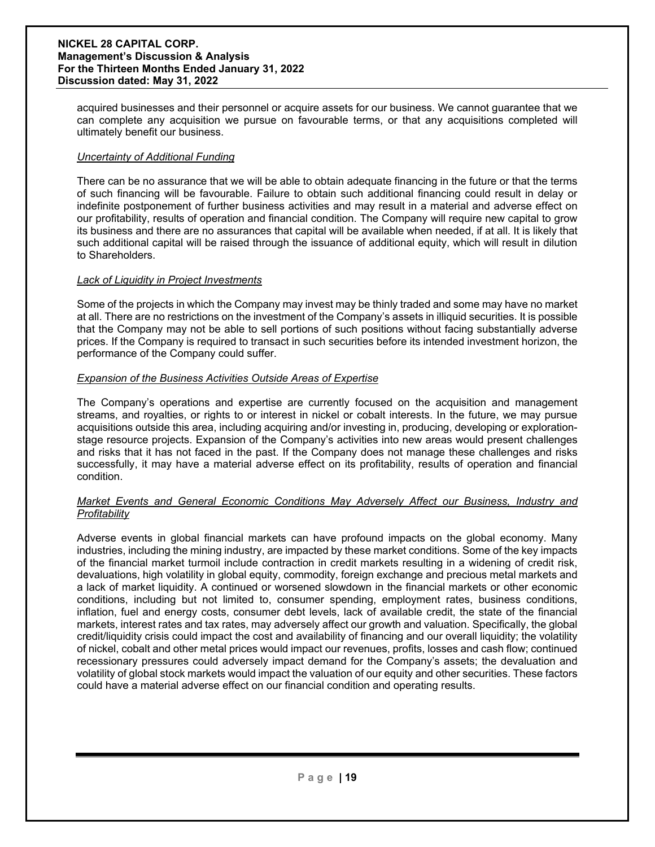acquired businesses and their personnel or acquire assets for our business. We cannot guarantee that we can complete any acquisition we pursue on favourable terms, or that any acquisitions completed will ultimately benefit our business.

#### *Uncertainty of Additional Funding*

There can be no assurance that we will be able to obtain adequate financing in the future or that the terms of such financing will be favourable. Failure to obtain such additional financing could result in delay or indefinite postponement of further business activities and may result in a material and adverse effect on our profitability, results of operation and financial condition. The Company will require new capital to grow its business and there are no assurances that capital will be available when needed, if at all. It is likely that such additional capital will be raised through the issuance of additional equity, which will result in dilution to Shareholders.

#### *Lack of Liquidity in Project Investments*

Some of the projects in which the Company may invest may be thinly traded and some may have no market at all. There are no restrictions on the investment of the Company's assets in illiquid securities. It is possible that the Company may not be able to sell portions of such positions without facing substantially adverse prices. If the Company is required to transact in such securities before its intended investment horizon, the performance of the Company could suffer.

#### *Expansion of the Business Activities Outside Areas of Expertise*

The Company's operations and expertise are currently focused on the acquisition and management streams, and royalties, or rights to or interest in nickel or cobalt interests. In the future, we may pursue acquisitions outside this area, including acquiring and/or investing in, producing, developing or explorationstage resource projects. Expansion of the Company's activities into new areas would present challenges and risks that it has not faced in the past. If the Company does not manage these challenges and risks successfully, it may have a material adverse effect on its profitability, results of operation and financial condition.

#### *Market Events and General Economic Conditions May Adversely Affect our Business, Industry and Profitability*

Adverse events in global financial markets can have profound impacts on the global economy. Many industries, including the mining industry, are impacted by these market conditions. Some of the key impacts of the financial market turmoil include contraction in credit markets resulting in a widening of credit risk, devaluations, high volatility in global equity, commodity, foreign exchange and precious metal markets and a lack of market liquidity. A continued or worsened slowdown in the financial markets or other economic conditions, including but not limited to, consumer spending, employment rates, business conditions, inflation, fuel and energy costs, consumer debt levels, lack of available credit, the state of the financial markets, interest rates and tax rates, may adversely affect our growth and valuation. Specifically, the global credit/liquidity crisis could impact the cost and availability of financing and our overall liquidity; the volatility of nickel, cobalt and other metal prices would impact our revenues, profits, losses and cash flow; continued recessionary pressures could adversely impact demand for the Company's assets; the devaluation and volatility of global stock markets would impact the valuation of our equity and other securities. These factors could have a material adverse effect on our financial condition and operating results.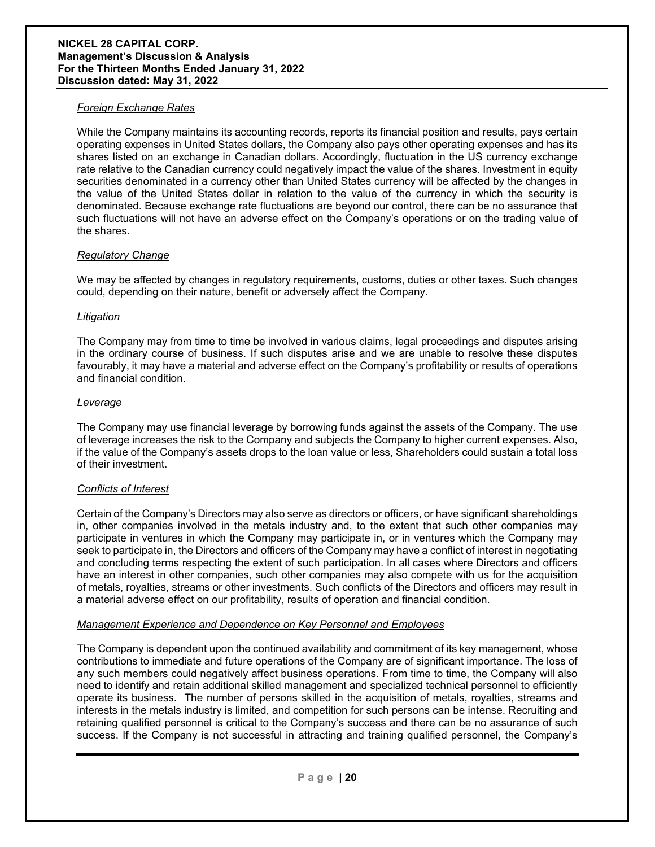#### *Foreign Exchange Rates*

While the Company maintains its accounting records, reports its financial position and results, pays certain operating expenses in United States dollars, the Company also pays other operating expenses and has its shares listed on an exchange in Canadian dollars. Accordingly, fluctuation in the US currency exchange rate relative to the Canadian currency could negatively impact the value of the shares. Investment in equity securities denominated in a currency other than United States currency will be affected by the changes in the value of the United States dollar in relation to the value of the currency in which the security is denominated. Because exchange rate fluctuations are beyond our control, there can be no assurance that such fluctuations will not have an adverse effect on the Company's operations or on the trading value of the shares.

#### *Regulatory Change*

We may be affected by changes in regulatory requirements, customs, duties or other taxes. Such changes could, depending on their nature, benefit or adversely affect the Company.

#### *Litigation*

The Company may from time to time be involved in various claims, legal proceedings and disputes arising in the ordinary course of business. If such disputes arise and we are unable to resolve these disputes favourably, it may have a material and adverse effect on the Company's profitability or results of operations and financial condition.

#### *Leverage*

The Company may use financial leverage by borrowing funds against the assets of the Company. The use of leverage increases the risk to the Company and subjects the Company to higher current expenses. Also, if the value of the Company's assets drops to the loan value or less, Shareholders could sustain a total loss of their investment.

#### *Conflicts of Interest*

Certain of the Company's Directors may also serve as directors or officers, or have significant shareholdings in, other companies involved in the metals industry and, to the extent that such other companies may participate in ventures in which the Company may participate in, or in ventures which the Company may seek to participate in, the Directors and officers of the Company may have a conflict of interest in negotiating and concluding terms respecting the extent of such participation. In all cases where Directors and officers have an interest in other companies, such other companies may also compete with us for the acquisition of metals, royalties, streams or other investments. Such conflicts of the Directors and officers may result in a material adverse effect on our profitability, results of operation and financial condition.

#### *Management Experience and Dependence on Key Personnel and Employees*

The Company is dependent upon the continued availability and commitment of its key management, whose contributions to immediate and future operations of the Company are of significant importance. The loss of any such members could negatively affect business operations. From time to time, the Company will also need to identify and retain additional skilled management and specialized technical personnel to efficiently operate its business. The number of persons skilled in the acquisition of metals, royalties, streams and interests in the metals industry is limited, and competition for such persons can be intense. Recruiting and retaining qualified personnel is critical to the Company's success and there can be no assurance of such success. If the Company is not successful in attracting and training qualified personnel, the Company's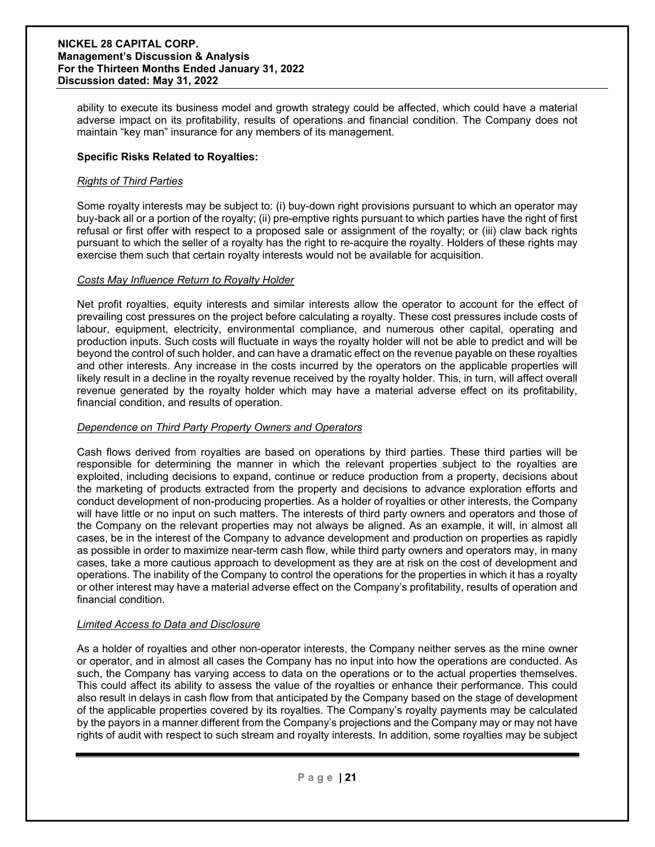ability to execute its business model and growth strategy could be affected, which could have a material adverse impact on its profitability, results of operations and financial condition. The Company does not maintain "key man" insurance for any members of its management.

#### **Specific Risks Related to Royalties:**

#### *Rights of Third Parties*

Some royalty interests may be subject to: (i) buy-down right provisions pursuant to which an operator may buy-back all or a portion of the royalty; (ii) pre-emptive rights pursuant to which parties have the right of first refusal or first offer with respect to a proposed sale or assignment of the royalty; or (iii) claw back rights pursuant to which the seller of a royalty has the right to re-acquire the royalty. Holders of these rights may exercise them such that certain royalty interests would not be available for acquisition.

#### *Costs May Influence Return to Royalty Holder*

Net profit royalties, equity interests and similar interests allow the operator to account for the effect of prevailing cost pressures on the project before calculating a royalty. These cost pressures include costs of labour, equipment, electricity, environmental compliance, and numerous other capital, operating and production inputs. Such costs will fluctuate in ways the royalty holder will not be able to predict and will be beyond the control of such holder, and can have a dramatic effect on the revenue payable on these royalties and other interests. Any increase in the costs incurred by the operators on the applicable properties will likely result in a decline in the royalty revenue received by the royalty holder. This, in turn, will affect overall revenue generated by the royalty holder which may have a material adverse effect on its profitability, financial condition, and results of operation.

#### *Dependence on Third Party Property Owners and Operators*

Cash flows derived from royalties are based on operations by third parties. These third parties will be responsible for determining the manner in which the relevant properties subject to the royalties are exploited, including decisions to expand, continue or reduce production from a property, decisions about the marketing of products extracted from the property and decisions to advance exploration efforts and conduct development of non-producing properties. As a holder of royalties or other interests, the Company will have little or no input on such matters. The interests of third party owners and operators and those of the Company on the relevant properties may not always be aligned. As an example, it will, in almost all cases, be in the interest of the Company to advance development and production on properties as rapidly as possible in order to maximize near-term cash flow, while third party owners and operators may, in many cases, take a more cautious approach to development as they are at risk on the cost of development and operations. The inability of the Company to control the operations for the properties in which it has a royalty or other interest may have a material adverse effect on the Company's profitability, results of operation and financial condition.

#### *Limited Access to Data and Disclosure*

As a holder of royalties and other non-operator interests, the Company neither serves as the mine owner or operator, and in almost all cases the Company has no input into how the operations are conducted. As such, the Company has varying access to data on the operations or to the actual properties themselves. This could affect its ability to assess the value of the royalties or enhance their performance. This could also result in delays in cash flow from that anticipated by the Company based on the stage of development of the applicable properties covered by its royalties. The Company's royalty payments may be calculated by the payors in a manner different from the Company's projections and the Company may or may not have rights of audit with respect to such stream and royalty interests. In addition, some royalties may be subject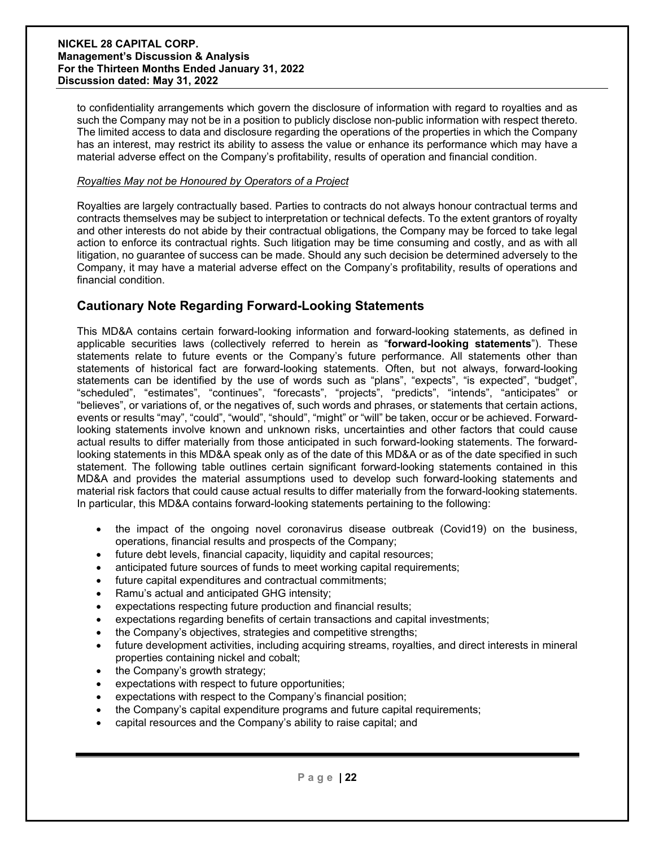to confidentiality arrangements which govern the disclosure of information with regard to royalties and as such the Company may not be in a position to publicly disclose non-public information with respect thereto. The limited access to data and disclosure regarding the operations of the properties in which the Company has an interest, may restrict its ability to assess the value or enhance its performance which may have a material adverse effect on the Company's profitability, results of operation and financial condition.

#### *Royalties May not be Honoured by Operators of a Project*

Royalties are largely contractually based. Parties to contracts do not always honour contractual terms and contracts themselves may be subject to interpretation or technical defects. To the extent grantors of royalty and other interests do not abide by their contractual obligations, the Company may be forced to take legal action to enforce its contractual rights. Such litigation may be time consuming and costly, and as with all litigation, no guarantee of success can be made. Should any such decision be determined adversely to the Company, it may have a material adverse effect on the Company's profitability, results of operations and financial condition.

## **Cautionary Note Regarding Forward-Looking Statements**

This MD&A contains certain forward-looking information and forward-looking statements, as defined in applicable securities laws (collectively referred to herein as "**forward-looking statements**"). These statements relate to future events or the Company's future performance. All statements other than statements of historical fact are forward-looking statements. Often, but not always, forward-looking statements can be identified by the use of words such as "plans", "expects", "is expected", "budget", "scheduled", "estimates", "continues", "forecasts", "projects", "predicts", "intends", "anticipates" or "believes", or variations of, or the negatives of, such words and phrases, or statements that certain actions, events or results "may", "could", "would", "should", "might" or "will" be taken, occur or be achieved. Forwardlooking statements involve known and unknown risks, uncertainties and other factors that could cause actual results to differ materially from those anticipated in such forward-looking statements. The forwardlooking statements in this MD&A speak only as of the date of this MD&A or as of the date specified in such statement. The following table outlines certain significant forward-looking statements contained in this MD&A and provides the material assumptions used to develop such forward-looking statements and material risk factors that could cause actual results to differ materially from the forward-looking statements. In particular, this MD&A contains forward-looking statements pertaining to the following:

- the impact of the ongoing novel coronavirus disease outbreak (Covid19) on the business, operations, financial results and prospects of the Company;
- future debt levels, financial capacity, liquidity and capital resources;
- anticipated future sources of funds to meet working capital requirements;
- future capital expenditures and contractual commitments;
- Ramu's actual and anticipated GHG intensity;
- expectations respecting future production and financial results;
- expectations regarding benefits of certain transactions and capital investments;
- the Company's objectives, strategies and competitive strengths;
- future development activities, including acquiring streams, royalties, and direct interests in mineral properties containing nickel and cobalt;
- the Company's growth strategy;
- expectations with respect to future opportunities;
- expectations with respect to the Company's financial position;
- the Company's capital expenditure programs and future capital requirements;
- capital resources and the Company's ability to raise capital; and